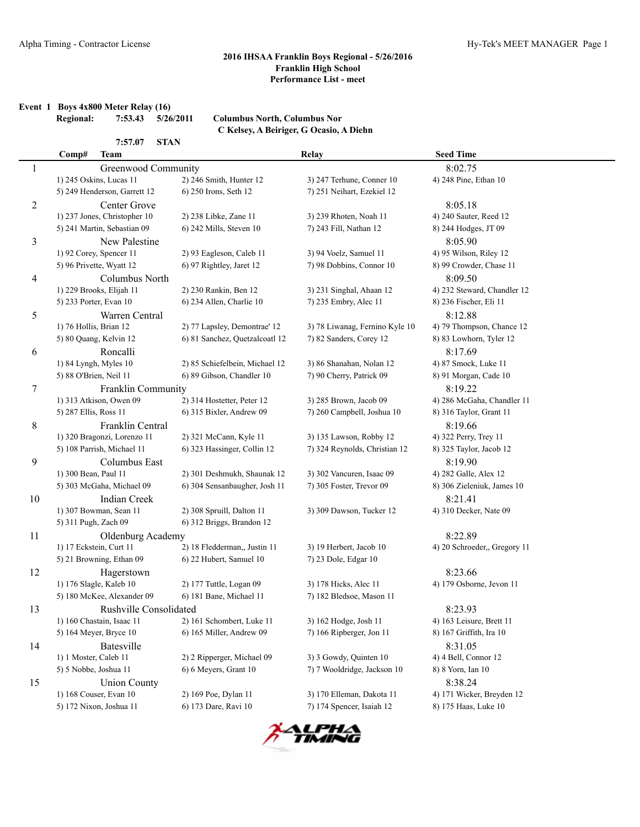**Event 1 Boys 4x800 Meter Relay (16)**

**Regional: 7:53.43 5/26/2011 Columbus North, Columbus Nor C Kelsey, A Beiriger, G Ocasio, A Diehn**

|                | 7:57.07<br><b>STAN</b>       |                                |                                |                              |
|----------------|------------------------------|--------------------------------|--------------------------------|------------------------------|
|                | Comp#<br><b>Team</b>         |                                | <b>Relay</b>                   | <b>Seed Time</b>             |
| 1              | Greenwood Community          |                                |                                | 8:02.75                      |
|                | 1) 245 Oskins, Lucas 11      | 2) 246 Smith, Hunter 12        | 3) 247 Terhune, Conner 10      | 4) 248 Pine, Ethan 10        |
|                | 5) 249 Henderson, Garrett 12 | 6) 250 Irons, Seth 12          | 7) 251 Neihart, Ezekiel 12     |                              |
| $\overline{c}$ | Center Grove                 |                                |                                | 8:05.18                      |
|                | 1) 237 Jones, Christopher 10 | 2) 238 Libke, Zane 11          | 3) 239 Rhoten, Noah 11         | 4) 240 Sauter, Reed 12       |
|                | 5) 241 Martin, Sebastian 09  | 6) 242 Mills, Steven 10        | 7) 243 Fill, Nathan 12         | 8) 244 Hodges, JT 09         |
| 3              | New Palestine                |                                |                                | 8:05.90                      |
|                | 1) 92 Corey, Spencer 11      | 2) 93 Eagleson, Caleb 11       | 3) 94 Voelz, Samuel 11         | 4) 95 Wilson, Riley 12       |
|                | 5) 96 Privette, Wyatt 12     | 6) 97 Rightley, Jaret 12       | 7) 98 Dobbins, Connor 10       | 8) 99 Crowder, Chase 11      |
| 4              | Columbus North               |                                |                                | 8:09.50                      |
|                | 1) 229 Brooks, Elijah 11     | 2) 230 Rankin, Ben 12          | 3) 231 Singhal, Ahaan 12       | 4) 232 Steward, Chandler 12  |
|                | 5) 233 Porter, Evan 10       | 6) 234 Allen, Charlie 10       | 7) 235 Embry, Alec 11          | 8) 236 Fischer, Eli 11       |
| 5              | Warren Central               |                                |                                | 8:12.88                      |
|                | 1) 76 Hollis, Brian 12       | 2) 77 Lapsley, Demontrae' 12   | 3) 78 Liwanag, Fernino Kyle 10 | 4) 79 Thompson, Chance 12    |
|                | 5) 80 Quang, Kelvin 12       | 6) 81 Sanchez, Quetzalcoatl 12 | 7) 82 Sanders, Corey 12        | 8) 83 Lowhorn, Tyler 12      |
| 6              | Roncalli                     |                                |                                | 8:17.69                      |
|                | 1) 84 Lyngh, Myles 10        | 2) 85 Schiefelbein, Michael 12 | 3) 86 Shanahan, Nolan 12       | 4) 87 Smock, Luke 11         |
|                | 5) 88 O'Brien, Neil 11       | 6) 89 Gibson, Chandler 10      | 7) 90 Cherry, Patrick 09       | 8) 91 Morgan, Cade 10        |
| 7              | Franklin Community           |                                |                                | 8:19.22                      |
|                | 1) 313 Atkison, Owen 09      | 2) 314 Hostetter, Peter 12     | 3) 285 Brown, Jacob 09         | 4) 286 McGaha, Chandler 11   |
|                | 5) 287 Ellis, Ross 11        | 6) 315 Bixler, Andrew 09       | 7) 260 Campbell, Joshua 10     | 8) 316 Taylor, Grant 11      |
| 8              | Franklin Central             |                                |                                | 8:19.66                      |
|                | 1) 320 Bragonzi, Lorenzo 11  | 2) 321 McCann, Kyle 11         | 3) 135 Lawson, Robby 12        | 4) 322 Perry, Trey 11        |
|                | 5) 108 Parrish, Michael 11   | 6) 323 Hassinger, Collin 12    | 7) 324 Reynolds, Christian 12  | 8) 325 Taylor, Jacob 12      |
| 9              | Columbus East                |                                |                                | 8:19.90                      |
|                | 1) 300 Bean, Paul 11         | 2) 301 Deshmukh, Shaunak 12    | 3) 302 Vancuren, Isaac 09      | 4) 282 Galle, Alex 12        |
|                | 5) 303 McGaha, Michael 09    | 6) 304 Sensanbaugher, Josh 11  | 7) 305 Foster, Trevor 09       | 8) 306 Zieleniuk, James 10   |
| 10             | <b>Indian Creek</b>          |                                |                                | 8:21.41                      |
|                | 1) 307 Bowman, Sean 11       | 2) 308 Spruill, Dalton 11      | 3) 309 Dawson, Tucker 12       | 4) 310 Decker, Nate 09       |
|                | 5) 311 Pugh, Zach 09         | 6) 312 Briggs, Brandon 12      |                                |                              |
| 11             | Oldenburg Academy            |                                |                                | 8:22.89                      |
|                | 1) 17 Eckstein, Curt 11      | 2) 18 Fledderman,, Justin 11   | 3) 19 Herbert, Jacob 10        | 4) 20 Schroeder,, Gregory 11 |
|                | 5) 21 Browning, Ethan 09     | 6) 22 Hubert, Samuel 10        | 7) 23 Dole, Edgar 10           |                              |
| 12             | Hagerstown                   |                                |                                | 8:23.66                      |
|                | 1) 176 Slagle, Kaleb 10      | 2) 177 Tuttle, Logan 09        | 3) 178 Hicks, Alec 11          | 4) 179 Osborne, Jevon 11     |
|                | 5) 180 McKee, Alexander 09   | 6) 181 Bane, Michael 11        | 7) 182 Bledsoe, Mason 11       |                              |
| 13             | Rushville Consolidated       |                                |                                | 8:23.93                      |
|                | 1) 160 Chastain, Isaac 11    | 2) 161 Schombert, Luke 11      | 3) 162 Hodge, Josh 11          | 4) 163 Leisure, Brett 11     |
|                | 5) 164 Meyer, Bryce 10       | 6) 165 Miller, Andrew 09       | 7) 166 Ripberger, Jon 11       | 8) 167 Griffith, Ira 10      |
| 14             | Batesville                   |                                |                                | 8:31.05                      |
|                | 1) 1 Moster, Caleb 11        | 2) 2 Ripperger, Michael 09     | 3) 3 Gowdy, Quinten 10         | 4) 4 Bell, Connor 12         |
|                | 5) 5 Nobbe, Joshua 11        | 6) 6 Meyers, Grant 10          | 7) 7 Wooldridge, Jackson 10    | 8) 8 Yorn, Ian 10            |
| 15             | <b>Union County</b>          |                                |                                | 8:38.24                      |
|                | 1) 168 Couser, Evan 10       | 2) 169 Poe, Dylan 11           | 3) 170 Elleman, Dakota 11      | 4) 171 Wicker, Breyden 12    |
|                | 5) 172 Nixon, Joshua 11      | 6) 173 Dare, Ravi 10           | 7) 174 Spencer, Isaiah 12      | 8) 175 Haas, Luke 10         |
|                |                              |                                |                                |                              |

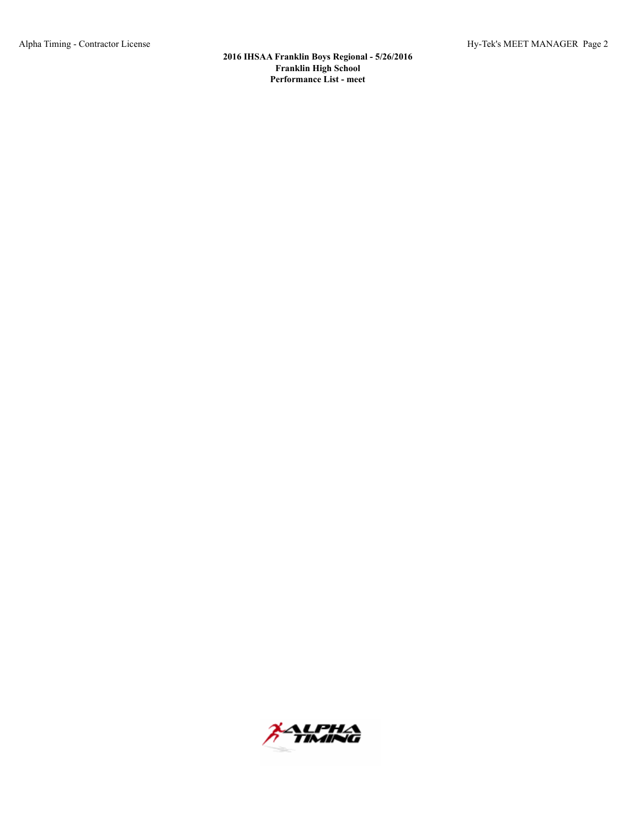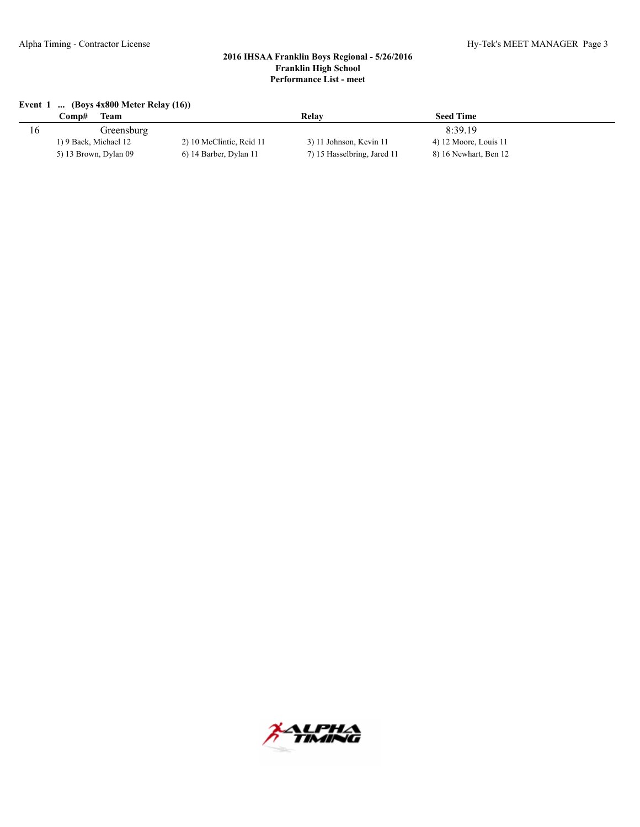| Event 1  (Boys 4x800 Meter Relay (16)) |  |  |  |  |  |
|----------------------------------------|--|--|--|--|--|
|----------------------------------------|--|--|--|--|--|

| Team<br>Comp#         | .                        | Relay                       | <b>Seed Time</b>      |
|-----------------------|--------------------------|-----------------------------|-----------------------|
| Greensburg            |                          |                             | 8:39.19               |
| 1) 9 Back, Michael 12 | 2) 10 McClintic, Reid 11 | 3) 11 Johnson, Kevin 11     | 4) 12 Moore, Louis 11 |
| 5) 13 Brown, Dylan 09 | 6) 14 Barber, Dylan 11   | 7) 15 Hasselbring, Jared 11 | 8) 16 Newhart, Ben 12 |

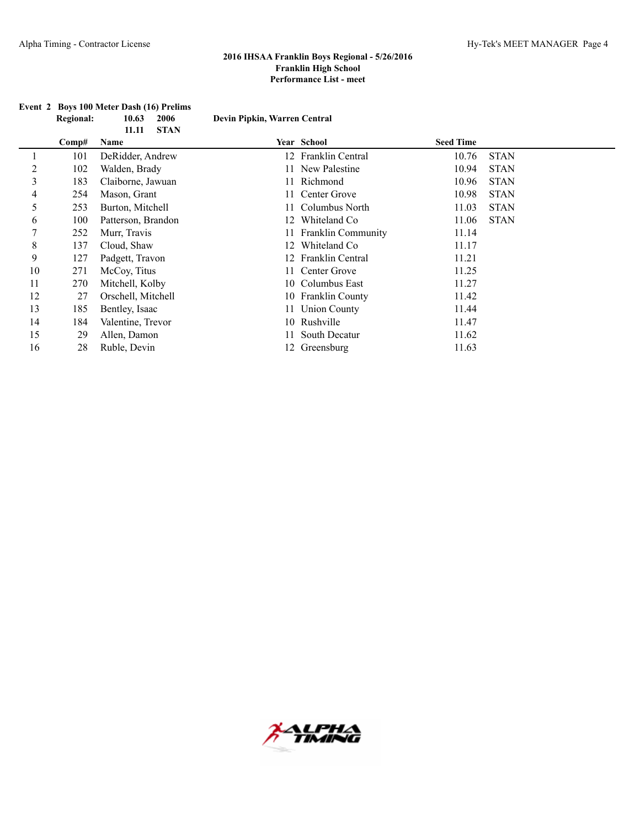|    |                  | Event 2 Boys 100 Meter Dash (16) Prelims |                              |                       |                  |             |
|----|------------------|------------------------------------------|------------------------------|-----------------------|------------------|-------------|
|    | <b>Regional:</b> | 10.63<br>2006                            | Devin Pipkin, Warren Central |                       |                  |             |
|    |                  | <b>STAN</b><br>11.11                     |                              |                       |                  |             |
|    | Comp#            | Name                                     |                              | <b>Year School</b>    | <b>Seed Time</b> |             |
|    | 101              | DeRidder, Andrew                         |                              | 12 Franklin Central   | 10.76            | <b>STAN</b> |
| 2  | 102              | Walden, Brady                            |                              | 11 New Palestine      | 10.94            | <b>STAN</b> |
| 3  | 183              | Claiborne, Jawuan                        |                              | 11 Richmond           | 10.96            | <b>STAN</b> |
| 4  | 254              | Mason, Grant                             |                              | 11 Center Grove       | 10.98            | <b>STAN</b> |
| 5  | 253              | Burton, Mitchell                         |                              | Columbus North        | 11.03            | <b>STAN</b> |
| 6  | 100              | Patterson, Brandon                       |                              | Whiteland Co          | 11.06            | <b>STAN</b> |
| 7  | 252              | Murr, Travis                             |                              | 11 Franklin Community | 11.14            |             |
| 8  | 137              | Cloud, Shaw                              | 12                           | Whiteland Co.         | 11.17            |             |
| 9  | 127              | Padgett, Travon                          |                              | Franklin Central      | 11.21            |             |
| 10 | 271              | McCoy, Titus                             |                              | Center Grove          | 11.25            |             |
| 11 | 270              | Mitchell, Kolby                          |                              | 10 Columbus East      | 11.27            |             |
| 12 | 27               | Orschell, Mitchell                       |                              | 10 Franklin County    | 11.42            |             |
| 13 | 185              | Bentley, Isaac                           |                              | 11 Union County       | 11.44            |             |
| 14 | 184              | Valentine, Trevor                        |                              | 10 Rushville          | 11.47            |             |
| 15 | 29               | Allen, Damon                             |                              | South Decatur         | 11.62            |             |
| 16 | 28               | Ruble, Devin                             |                              | 12 Greensburg         | 11.63            |             |

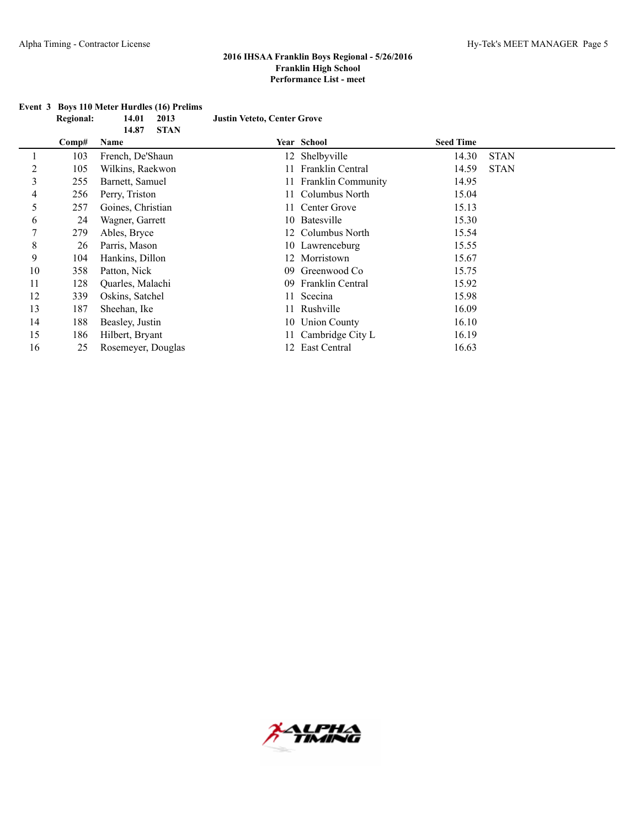|    | <b>Regional:</b> | 14.01<br>2013        | <b>Justin Veteto, Center Grove</b> |                       |                  |             |
|----|------------------|----------------------|------------------------------------|-----------------------|------------------|-------------|
|    |                  | 14.87<br><b>STAN</b> |                                    |                       |                  |             |
|    | Comp#            | Name                 |                                    | Year School           | <b>Seed Time</b> |             |
|    | 103              | French, De'Shaun     |                                    | 12 Shelbyville        | 14.30            | <b>STAN</b> |
| 2  | 105              | Wilkins, Raekwon     |                                    | Franklin Central      | 14.59            | <b>STAN</b> |
| 3  | 255              | Barnett, Samuel      |                                    | 11 Franklin Community | 14.95            |             |
| 4  | 256              | Perry, Triston       |                                    | Columbus North        | 15.04            |             |
| 5  | 257              | Goines, Christian    |                                    | Center Grove          | 15.13            |             |
| 6  | 24               | Wagner, Garrett      |                                    | 10 Batesville         | 15.30            |             |
| 7  | 279              | Ables, Bryce         |                                    | 12 Columbus North     | 15.54            |             |
| 8  | 26               | Parris, Mason        |                                    | 10 Lawrenceburg       | 15.55            |             |
| 9  | 104              | Hankins, Dillon      | 12                                 | Morristown            | 15.67            |             |
| 10 | 358              | Patton, Nick         | 09                                 | Greenwood Co          | 15.75            |             |
| 11 | 128              | Quarles, Malachi     | 09                                 | Franklin Central      | 15.92            |             |
| 12 | 339              | Oskins, Satchel      |                                    | 11 Scecina            | 15.98            |             |
| 13 | 187              | Sheehan, Ike         |                                    | 11 Rushville          | 16.09            |             |
| 14 | 188              | Beasley, Justin      |                                    | 10 Union County       | 16.10            |             |
| 15 | 186              | Hilbert, Bryant      |                                    | 11 Cambridge City L   | 16.19            |             |
| 16 | 25               | Rosemeyer, Douglas   |                                    | 12 East Central       | 16.63            |             |

## **Event 3 Boys 110 Meter Hurdles (16) Prelims**

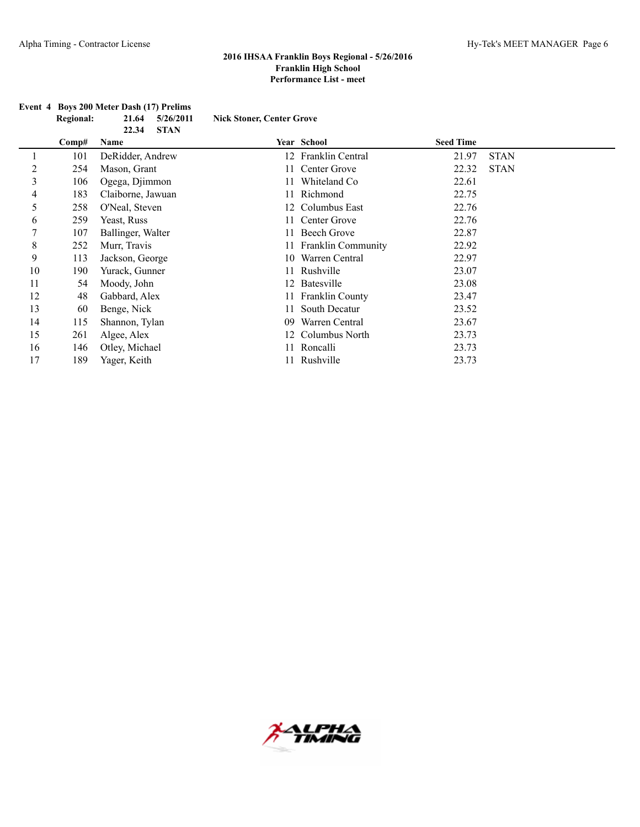|    | керинан. | 41.04<br>3/20/2011           | <b>INICK STORET, CERTET GTOVE</b> |                       |                  |             |
|----|----------|------------------------------|-----------------------------------|-----------------------|------------------|-------------|
|    | Comp#    | <b>STAN</b><br>22.34<br>Name |                                   | Year School           | <b>Seed Time</b> |             |
|    | 101      | DeRidder, Andrew             |                                   | 12 Franklin Central   | 21.97            | <b>STAN</b> |
| 2  | 254      | Mason, Grant                 |                                   | 11 Center Grove       | 22.32            | <b>STAN</b> |
| 3  | 106      | Ogega, Djimmon               |                                   | Whiteland Co          | 22.61            |             |
| 4  | 183      | Claiborne, Jawuan            |                                   | 11 Richmond           | 22.75            |             |
| 5  | 258      | O'Neal, Steven               |                                   | 12 Columbus East      | 22.76            |             |
| 6  | 259      | Yeast, Russ                  |                                   | Center Grove          | 22.76            |             |
| 7  | 107      | Ballinger, Walter            |                                   | Beech Grove           | 22.87            |             |
| 8  | 252      | Murr, Travis                 |                                   | 11 Franklin Community | 22.92            |             |
| 9  | 113      | Jackson, George              | 10.                               | Warren Central        | 22.97            |             |
| 10 | 190      | Yurack, Gunner               |                                   | 11 Rushville          | 23.07            |             |
| 11 | 54       | Moody, John                  |                                   | 12 Batesville         | 23.08            |             |
| 12 | 48       | Gabbard, Alex                |                                   | 11 Franklin County    | 23.47            |             |
| 13 | 60       | Benge, Nick                  | 11                                | South Decatur         | 23.52            |             |
| 14 | 115      | Shannon, Tylan               | 09                                | Warren Central        | 23.67            |             |
| 15 | 261      | Algee, Alex                  |                                   | 12 Columbus North     | 23.73            |             |
| 16 | 146      | Otley, Michael               |                                   | 11 Roncalli           | 23.73            |             |
| 17 | 189      | Yager, Keith                 |                                   | 11 Rushville          | 23.73            |             |

#### **Event 4 Boys 200 Meter Dash (17) Prelims Regional: 21.64 5/26/2011 Nick Stoner, Center Grove**

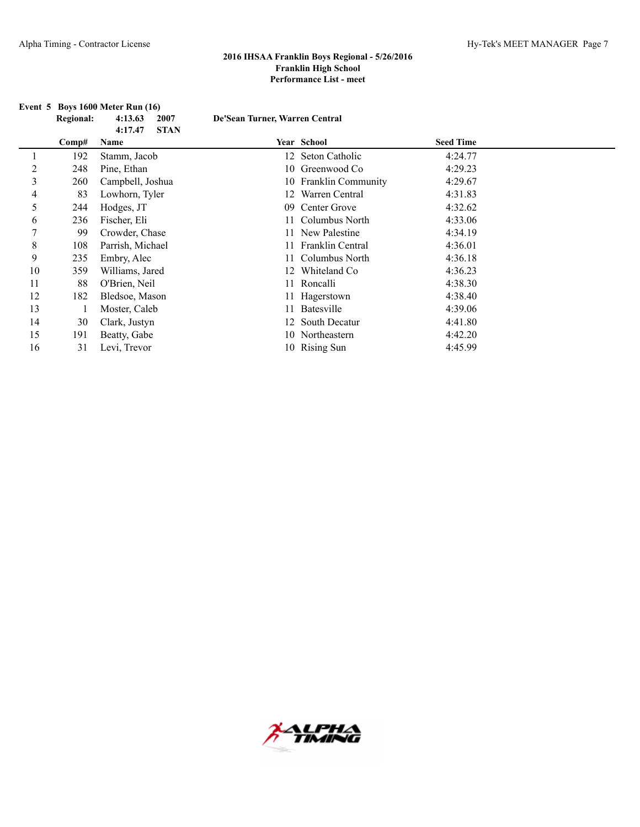|    | <b>Regional:</b> | $E$ , cht $\sigma$ boys 1000 meter Kun (10)<br>4:13.63<br>2007 | De'Sean Turner, Warren Central |                       |                  |  |
|----|------------------|----------------------------------------------------------------|--------------------------------|-----------------------|------------------|--|
|    | Comp#            | <b>STAN</b><br>4:17.47<br>Name                                 |                                | Year School           | <b>Seed Time</b> |  |
|    | 192              | Stamm, Jacob                                                   |                                | 12 Seton Catholic     | 4:24.77          |  |
| 2  | 248              | Pine, Ethan                                                    | 10                             | Greenwood Co          | 4:29.23          |  |
| 3  | 260              | Campbell, Joshua                                               |                                | 10 Franklin Community | 4:29.67          |  |
| 4  | 83               | Lowhorn, Tyler                                                 | 12.                            | Warren Central        | 4:31.83          |  |
| 5  | 244              | Hodges, JT                                                     | 09                             | Center Grove          | 4:32.62          |  |
| 6  | 236              | Fischer, Eli                                                   |                                | 11 Columbus North     | 4:33.06          |  |
| 7  | 99               | Crowder, Chase                                                 |                                | 11 New Palestine      | 4:34.19          |  |
| 8  | 108              | Parrish, Michael                                               |                                | 11 Franklin Central   | 4:36.01          |  |
| 9  | 235              | Embry, Alec                                                    |                                | 11 Columbus North     | 4:36.18          |  |
| 10 | 359              | Williams, Jared                                                | 12                             | Whiteland Co          | 4:36.23          |  |
| 11 | 88               | O'Brien, Neil                                                  |                                | 11 Roncalli           | 4:38.30          |  |
| 12 | 182              | Bledsoe, Mason                                                 |                                | 11 Hagerstown         | 4:38.40          |  |
| 13 |                  | Moster, Caleb                                                  |                                | 11 Batesville         | 4:39.06          |  |
| 14 | 30               | Clark, Justyn                                                  | 12.                            | <b>South Decatur</b>  | 4:41.80          |  |
| 15 | 191              | Beatty, Gabe                                                   |                                | 10 Northeastern       | 4:42.20          |  |
| 16 | 31               | Levi, Trevor                                                   |                                | 10 Rising Sun         | 4:45.99          |  |

# **Event 5 Boys 1600 Meter Run (16)**

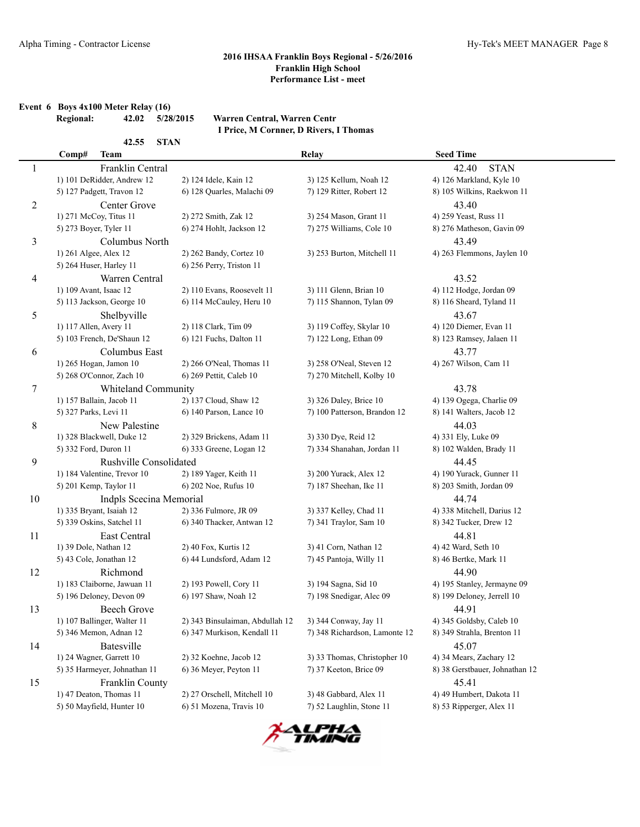**Event 6 Boys 4x100 Meter Relay (16)**

**42.55 STAN**

**Regional: 42.02 5/28/2015 Warren Central, Warren Centr I Price, M Cornner, D Rivers, I Thomas**

|                | Comp#<br><b>Team</b>         |                                 | <b>Relay</b>                  | <b>Seed Time</b>               |
|----------------|------------------------------|---------------------------------|-------------------------------|--------------------------------|
| $\mathbf{1}$   | Franklin Central             |                                 |                               | <b>STAN</b><br>42.40           |
|                | 1) 101 DeRidder, Andrew 12   | 2) 124 Idele, Kain 12           | 3) 125 Kellum, Noah 12        | 4) 126 Markland, Kyle 10       |
|                | 5) 127 Padgett, Travon 12    | 6) 128 Quarles, Malachi 09      | 7) 129 Ritter, Robert 12      | 8) 105 Wilkins, Raekwon 11     |
| $\overline{c}$ | Center Grove                 |                                 |                               | 43.40                          |
|                | 1) 271 McCoy, Titus 11       | 2) 272 Smith, Zak 12            | 3) 254 Mason, Grant 11        | 4) 259 Yeast, Russ 11          |
|                | 5) 273 Boyer, Tyler 11       | 6) 274 Hohlt, Jackson 12        | 7) 275 Williams, Cole 10      | 8) 276 Matheson, Gavin 09      |
| 3              | Columbus North               |                                 |                               | 43.49                          |
|                | 1) 261 Algee, Alex 12        | 2) 262 Bandy, Cortez 10         | 3) 253 Burton, Mitchell 11    | 4) 263 Flemmons, Jaylen 10     |
|                | 5) 264 Huser, Harley 11      | 6) 256 Perry, Triston 11        |                               |                                |
| 4              | Warren Central               |                                 |                               | 43.52                          |
|                | 1) 109 Avant, Isaac 12       | 2) 110 Evans, Roosevelt 11      | 3) 111 Glenn, Brian 10        | 4) 112 Hodge, Jordan 09        |
|                | 5) 113 Jackson, George 10    | 6) 114 McCauley, Heru 10        | 7) 115 Shannon, Tylan 09      | 8) 116 Sheard, Tyland 11       |
| 5              | Shelbyville                  |                                 |                               | 43.67                          |
|                | 1) 117 Allen, Avery 11       | 2) 118 Clark, Tim 09            | 3) 119 Coffey, Skylar 10      | 4) 120 Diemer, Evan 11         |
|                | 5) 103 French, De'Shaun 12   | 6) 121 Fuchs, Dalton 11         | 7) 122 Long, Ethan 09         | 8) 123 Ramsey, Jalaen 11       |
| 6              | Columbus East                |                                 |                               | 43.77                          |
|                | 1) 265 Hogan, Jamon 10       | 2) 266 O'Neal, Thomas 11        | 3) 258 O'Neal, Steven 12      | 4) 267 Wilson, Cam 11          |
|                | 5) 268 O'Connor, Zach 10     | 6) 269 Pettit, Caleb 10         | 7) 270 Mitchell, Kolby 10     |                                |
| $\tau$         | Whiteland Community          |                                 |                               | 43.78                          |
|                | 1) 157 Ballain, Jacob 11     | 2) 137 Cloud, Shaw 12           | 3) 326 Daley, Brice 10        | 4) 139 Ogega, Charlie 09       |
|                | 5) 327 Parks, Levi 11        | 6) 140 Parson, Lance 10         | 7) 100 Patterson, Brandon 12  | 8) 141 Walters, Jacob 12       |
| $8\,$          | New Palestine                |                                 |                               | 44.03                          |
|                | 1) 328 Blackwell, Duke 12    | 2) 329 Brickens, Adam 11        | 3) 330 Dye, Reid 12           | 4) 331 Ely, Luke 09            |
|                | 5) 332 Ford, Duron 11        | 6) 333 Greene, Logan 12         | 7) 334 Shanahan, Jordan 11    | 8) 102 Walden, Brady 11        |
| 9              | Rushville Consolidated       |                                 |                               | 44.45                          |
|                | 1) 184 Valentine, Trevor 10  | 2) 189 Yager, Keith 11          | 3) 200 Yurack, Alex 12        | 4) 190 Yurack, Gunner 11       |
|                | 5) 201 Kemp, Taylor 11       | 6) 202 Noe, Rufus 10            | 7) 187 Sheehan, Ike 11        | 8) 203 Smith, Jordan 09        |
| 10             | Indpls Scecina Memorial      |                                 |                               | 44.74                          |
|                | 1) 335 Bryant, Isaiah 12     | 2) 336 Fulmore, JR 09           | 3) 337 Kelley, Chad 11        | 4) 338 Mitchell, Darius 12     |
|                | 5) 339 Oskins, Satchel 11    | 6) 340 Thacker, Antwan 12       | 7) 341 Traylor, Sam 10        | 8) 342 Tucker, Drew 12         |
| 11             | East Central                 |                                 |                               | 44.81                          |
|                | 1) 39 Dole, Nathan 12        | 2) 40 Fox, Kurtis 12            | 3) 41 Corn, Nathan 12         | 4) 42 Ward, Seth 10            |
|                | 5) 43 Cole, Jonathan 12      | 6) 44 Lundsford, Adam 12        | 7) 45 Pantoja, Willy 11       | 8) 46 Bertke, Mark 11          |
| 12             | Richmond                     |                                 |                               | 44.90                          |
|                | 1) 183 Claiborne, Jawuan 11  | 2) 193 Powell, Cory 11          | 3) 194 Sagna, Sid 10          | 4) 195 Stanley, Jermayne 09    |
|                | 5) 196 Deloney, Devon 09     | 6) 197 Shaw, Noah 12            | 7) 198 Snedigar, Alec 09      | 8) 199 Deloney, Jerrell 10     |
| 13             | <b>Beech Grove</b>           |                                 |                               | 44.91                          |
|                | 1) 107 Ballinger, Walter 11  | 2) 343 Binsulaiman, Abdullah 12 | 3) 344 Conway, Jay 11         | 4) 345 Goldsby, Caleb 10       |
|                | 5) 346 Memon, Adnan 12       | 6) 347 Murkison, Kendall 11     | 7) 348 Richardson, Lamonte 12 | 8) 349 Strahla, Brenton 11     |
| 14             | Batesville                   |                                 |                               | 45.07                          |
|                | 1) 24 Wagner, Garrett 10     | 2) 32 Koehne, Jacob 12          | 3) 33 Thomas, Christopher 10  | 4) 34 Mears, Zachary 12        |
|                | 5) 35 Harmeyer, Johnathan 11 | 6) 36 Meyer, Peyton 11          | 7) 37 Keeton, Brice 09        | 8) 38 Gerstbauer, Johnathan 12 |
| 15             | Franklin County              |                                 |                               | 45.41                          |
|                | 1) 47 Deaton, Thomas 11      | 2) 27 Orschell, Mitchell 10     | 3) 48 Gabbard, Alex 11        | 4) 49 Humbert, Dakota 11       |
|                | 5) 50 Mayfield, Hunter 10    | 6) 51 Mozena, Travis 10         | 7) 52 Laughlin, Stone 11      | 8) 53 Ripperger, Alex 11       |
|                |                              |                                 |                               |                                |

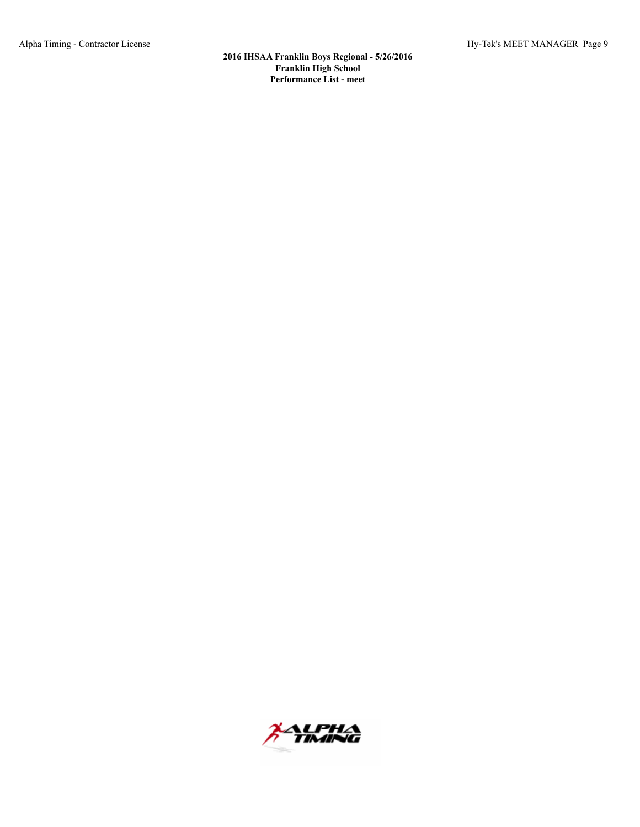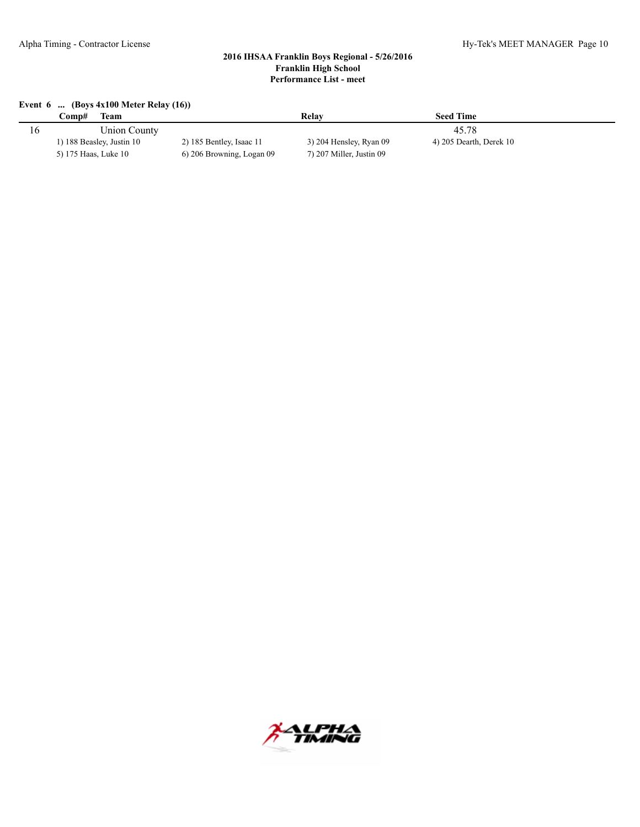|    |                      | Event 6  (Boys $4x100$ Meter Relay (16)) |                           |                          |                            |  |
|----|----------------------|------------------------------------------|---------------------------|--------------------------|----------------------------|--|
|    | Comp#                | Team                                     |                           | Relay                    | <b>Seed Time</b>           |  |
| 16 |                      | Union County                             |                           |                          | 45.78                      |  |
|    |                      | 1) 188 Beasley, Justin 10                | 2) 185 Bentley, Isaac 11  | 3) 204 Hensley, Ryan 09  | $(4)$ 205 Dearth, Derek 10 |  |
|    | 5) 175 Haas, Luke 10 |                                          | 6) 206 Browning, Logan 09 | 7) 207 Miller, Justin 09 |                            |  |

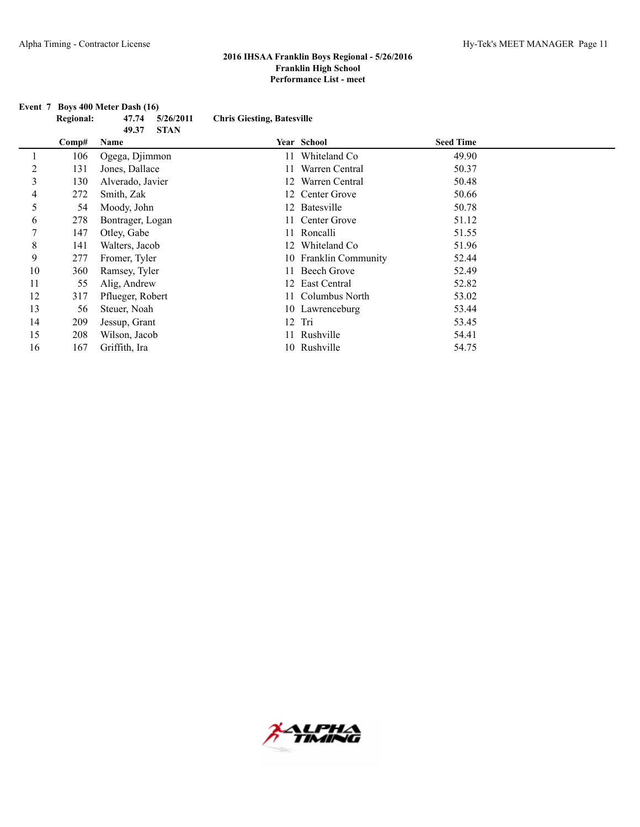|             | <b>Regional:</b> | 47.74<br>5/26/2011           | <b>Chris Giesting, Batesville</b> |                       |                  |  |
|-------------|------------------|------------------------------|-----------------------------------|-----------------------|------------------|--|
|             | Comp#            | 49.37<br><b>STAN</b><br>Name |                                   | Year School           | <b>Seed Time</b> |  |
|             | 106              | Ogega, Djimmon               | 11                                | Whiteland Co          | 49.90            |  |
| 2           | 131              | Jones, Dallace               |                                   | Warren Central        | 50.37            |  |
| 3           | 130              | Alverado, Javier             | 12.                               | Warren Central        | 50.48            |  |
| 4           | 272              | Smith, Zak                   |                                   | 12 Center Grove       | 50.66            |  |
| 5           | 54               | Moody, John                  |                                   | 12 Batesville         | 50.78            |  |
| 6           | 278              | Bontrager, Logan             |                                   | 11 Center Grove       | 51.12            |  |
| 7           | 147              | Otley, Gabe                  |                                   | 11 Roncalli           | 51.55            |  |
| $\,$ 8 $\,$ | 141              | Walters, Jacob               | 12.                               | Whiteland Co          | 51.96            |  |
| 9           | 277              | Fromer, Tyler                |                                   | 10 Franklin Community | 52.44            |  |
| 10          | 360              | Ramsey, Tyler                |                                   | <b>Beech Grove</b>    | 52.49            |  |
| 11          | 55               | Alig, Andrew                 | 12                                | East Central          | 52.82            |  |
| 12          | 317              | Pflueger, Robert             |                                   | 11 Columbus North     | 53.02            |  |
| 13          | 56               | Steuer, Noah                 |                                   | 10 Lawrenceburg       | 53.44            |  |
| 14          | 209              | Jessup, Grant                | 12                                | Tri                   | 53.45            |  |
| 15          | 208              | Wilson, Jacob                |                                   | Rushville             | 54.41            |  |
| 16          | 167              | Griffith, Ira                |                                   | 10 Rushville          | 54.75            |  |

### **Event 7 Boys 400 Meter Dash (16)**

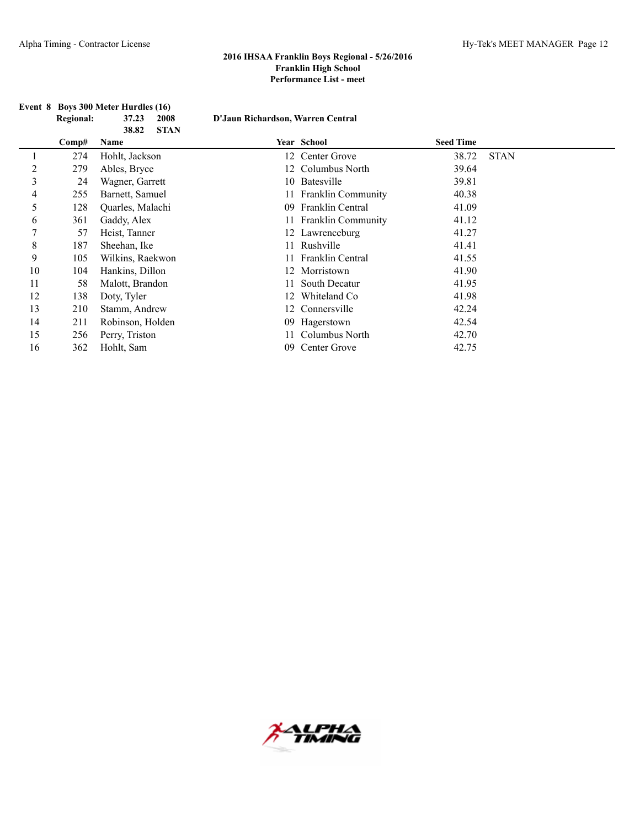| Event 8 |                  | <b>Boys 300 Meter Hurdles (16)</b> |                                   |                         |                  |             |
|---------|------------------|------------------------------------|-----------------------------------|-------------------------|------------------|-------------|
|         | <b>Regional:</b> | 37.23<br>2008                      | D'Jaun Richardson, Warren Central |                         |                  |             |
|         |                  | <b>STAN</b><br>38.82               |                                   |                         |                  |             |
|         | Comp#            | Name                               |                                   | Year School             | <b>Seed Time</b> |             |
|         | 274              | Hohlt, Jackson                     | 12                                | Center Grove            | 38.72            | <b>STAN</b> |
| 2       | 279              | Ables, Bryce                       |                                   | Columbus North          | 39.64            |             |
| 3       | 24               | Wagner, Garrett                    |                                   | 10 Batesville           | 39.81            |             |
| 4       | 255              | Barnett, Samuel                    |                                   | 11 Franklin Community   | 40.38            |             |
| 5       | 128              | Quarles, Malachi                   | 09                                | <b>Franklin Central</b> | 41.09            |             |
| 6       | 361              | Gaddy, Alex                        |                                   | 11 Franklin Community   | 41.12            |             |
| 7       | 57               | Heist, Tanner                      |                                   | 12 Lawrenceburg         | 41.27            |             |
| 8       | 187              | Sheehan, Ike                       |                                   | Rushville               | 41.41            |             |
| 9       | 105              | Wilkins, Raekwon                   |                                   | <b>Franklin Central</b> | 41.55            |             |
| 10      | 104              | Hankins, Dillon                    |                                   | Morristown              | 41.90            |             |
| 11      | 58               | Malott, Brandon                    |                                   | South Decatur           | 41.95            |             |
| 12      | 138              | Doty, Tyler                        |                                   | Whiteland Co            | 41.98            |             |
| 13      | 210              | Stamm, Andrew                      | 12                                | Connersville            | 42.24            |             |
| 14      | 211              | Robinson, Holden                   | 09                                | Hagerstown              | 42.54            |             |
| 15      | 256              | Perry, Triston                     |                                   | Columbus North          | 42.70            |             |
| 16      | 362              | Hohlt, Sam                         | 09                                | Center Grove            | 42.75            |             |

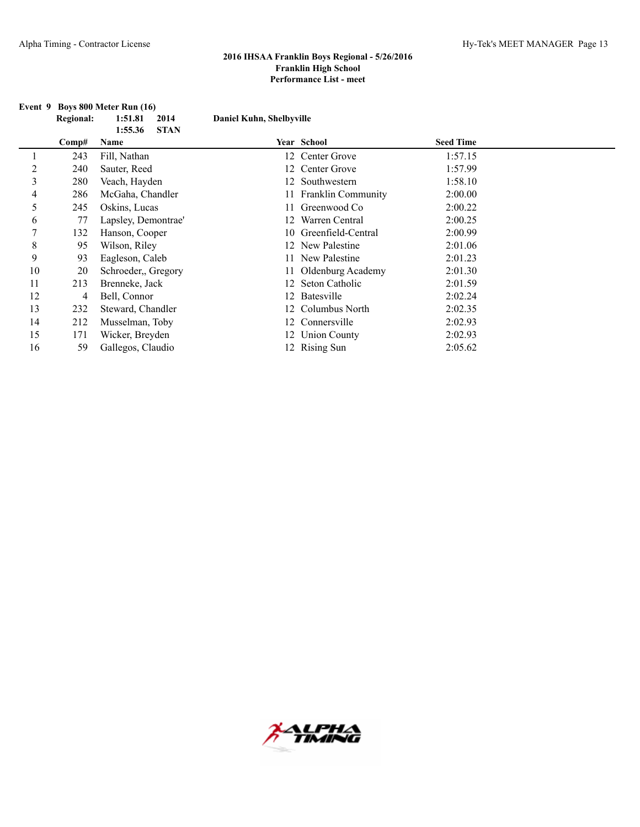| Event 9 | Boys 800 Meter Run (16) |                        |                          |                       |                  |  |  |
|---------|-------------------------|------------------------|--------------------------|-----------------------|------------------|--|--|
|         | <b>Regional:</b>        | 1:51.81<br>2014        | Daniel Kuhn, Shelbyville |                       |                  |  |  |
|         |                         | <b>STAN</b><br>1:55.36 |                          |                       |                  |  |  |
|         | Comp#                   | Name                   |                          | Year School           | <b>Seed Time</b> |  |  |
|         | 243                     | Fill, Nathan           |                          | 12 Center Grove       | 1:57.15          |  |  |
| 2       | 240                     | Sauter, Reed           | 12.                      | Center Grove          | 1:57.99          |  |  |
| 3       | 280                     | Veach, Hayden          |                          | 12 Southwestern       | 1:58.10          |  |  |
| 4       | 286                     | McGaha, Chandler       |                          | 11 Franklin Community | 2:00.00          |  |  |
| 5       | 245                     | Oskins, Lucas          |                          | 11 Greenwood Co       | 2:00.22          |  |  |
| 6       | 77                      | Lapsley, Demontrae'    | 12.                      | Warren Central        | 2:00.25          |  |  |
| 7       | 132                     | Hanson, Cooper         |                          | 10 Greenfield-Central | 2:00.99          |  |  |
| 8       | 95                      | Wilson, Riley          |                          | 12 New Palestine      | 2:01.06          |  |  |
| 9       | 93                      | Eagleson, Caleb        | 11.                      | New Palestine         | 2:01.23          |  |  |
| 10      | 20                      | Schroeder, Gregory     |                          | 11 Oldenburg Academy  | 2:01.30          |  |  |
| 11      | 213                     | Brenneke, Jack         |                          | 12 Seton Catholic     | 2:01.59          |  |  |
| 12      | 4                       | Bell, Connor           |                          | 12 Batesville         | 2:02.24          |  |  |
| 13      | 232                     | Steward, Chandler      |                          | 12   Columbus North   | 2:02.35          |  |  |
| 14      | 212                     | Musselman, Toby        |                          | 12 Connersville       | 2:02.93          |  |  |
| 15      | 171                     | Wicker, Breyden        |                          | <b>Union County</b>   | 2:02.93          |  |  |
| 16      | 59                      | Gallegos, Claudio      |                          | 12 Rising Sun         | 2:05.62          |  |  |

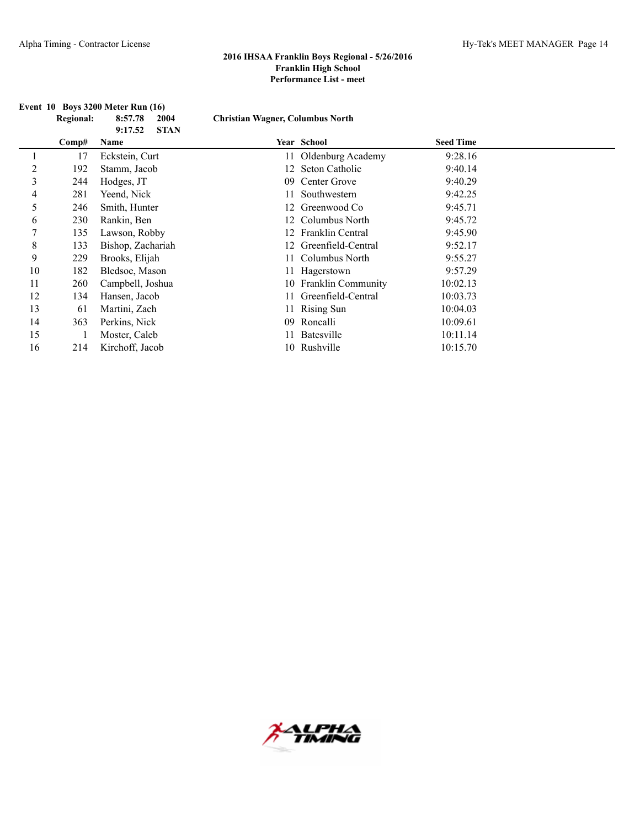|    | Event 10 Boys 3200 Meter Run (16) |                        |                                         |                       |                  |  |  |  |
|----|-----------------------------------|------------------------|-----------------------------------------|-----------------------|------------------|--|--|--|
|    | <b>Regional:</b>                  | 8:57.78<br>2004        | <b>Christian Wagner, Columbus North</b> |                       |                  |  |  |  |
|    |                                   | 9:17.52<br><b>STAN</b> |                                         |                       |                  |  |  |  |
|    | Comp#                             | Name                   |                                         | Year School           | <b>Seed Time</b> |  |  |  |
|    | 17                                | Eckstein, Curt         |                                         | 11 Oldenburg Academy  | 9:28.16          |  |  |  |
| 2  | 192                               | Stamm, Jacob           |                                         | Seton Catholic        | 9:40.14          |  |  |  |
| 3  | 244                               | Hodges, JT             | 09                                      | Center Grove          | 9:40.29          |  |  |  |
| 4  | 281                               | Yeend, Nick            |                                         | Southwestern          | 9:42.25          |  |  |  |
| 5  | 246                               | Smith, Hunter          | 12                                      | Greenwood Co          | 9:45.71          |  |  |  |
| 6  | 230                               | Rankin, Ben            |                                         | 12 Columbus North     | 9:45.72          |  |  |  |
| 7  | 135                               | Lawson, Robby          |                                         | 12 Franklin Central   | 9:45.90          |  |  |  |
| 8  | 133                               | Bishop, Zachariah      |                                         | Greenfield-Central    | 9:52.17          |  |  |  |
| 9  | 229                               | Brooks, Elijah         |                                         | Columbus North        | 9:55.27          |  |  |  |
| 10 | 182                               | Bledsoe, Mason         |                                         | 11 Hagerstown         | 9:57.29          |  |  |  |
| 11 | 260                               | Campbell, Joshua       |                                         | 10 Franklin Community | 10:02.13         |  |  |  |
| 12 | 134                               | Hansen, Jacob          |                                         | Greenfield-Central    | 10:03.73         |  |  |  |
| 13 | 61                                | Martini, Zach          |                                         | 11 Rising Sun         | 10:04.03         |  |  |  |
| 14 | 363                               | Perkins, Nick          | 09                                      | Roncalli              | 10:09.61         |  |  |  |
| 15 |                                   | Moster, Caleb          |                                         | Batesville            | 10:11.14         |  |  |  |
| 16 | 214                               | Kirchoff, Jacob        |                                         | 10 Rushville          | 10:15.70         |  |  |  |

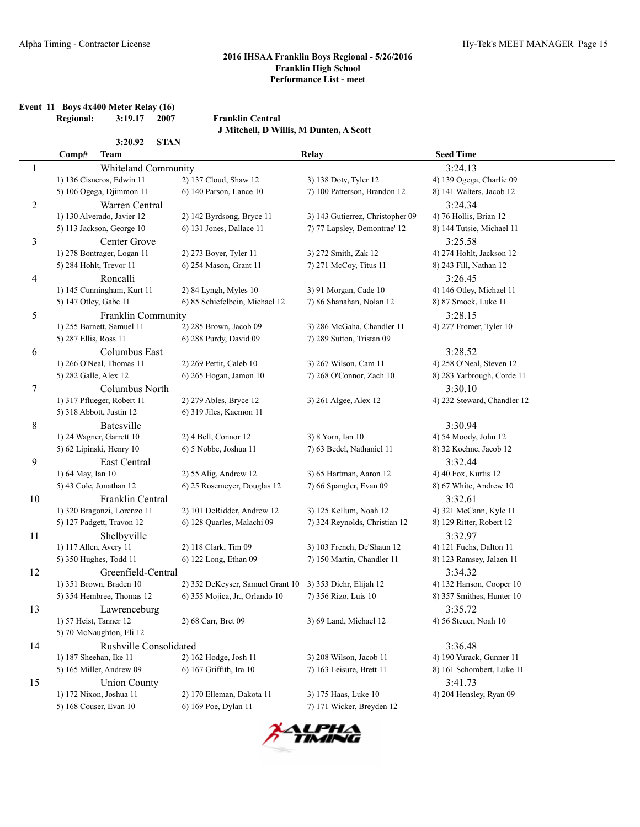| Event 11 Boys 4x400 Meter Relay (16) |  |  |  |  |
|--------------------------------------|--|--|--|--|
|                                      |  |  |  |  |

**3:20.92 STAN**

#### **Regional: 3:19.17 2007 Franklin Central J Mitchell, D Willis, M Dunten, A Scott**

|                | Comp#                   | <b>Team</b>                 |                                  | Relay                            | <b>Seed Time</b>            |
|----------------|-------------------------|-----------------------------|----------------------------------|----------------------------------|-----------------------------|
| 1              |                         | Whiteland Community         |                                  |                                  | 3:24.13                     |
|                |                         | 1) 136 Cisneros, Edwin 11   | 2) 137 Cloud, Shaw 12            | 3) 138 Doty, Tyler 12            | 4) 139 Ogega, Charlie 09    |
|                |                         | 5) 106 Ogega, Djimmon 11    | 6) 140 Parson, Lance 10          | 7) 100 Patterson, Brandon 12     | 8) 141 Walters, Jacob 12    |
| $\overline{c}$ |                         | Warren Central              |                                  |                                  | 3:24.34                     |
|                |                         | 1) 130 Alverado, Javier 12  | 2) 142 Byrdsong, Bryce 11        | 3) 143 Gutierrez, Christopher 09 | 4) 76 Hollis, Brian 12      |
|                |                         | 5) 113 Jackson, George 10   | 6) 131 Jones, Dallace 11         | 7) 77 Lapsley, Demontrae' 12     | 8) 144 Tutsie, Michael 11   |
| 3              |                         | Center Grove                |                                  |                                  | 3:25.58                     |
|                |                         | 1) 278 Bontrager, Logan 11  | 2) 273 Boyer, Tyler 11           | 3) 272 Smith, Zak 12             | 4) 274 Hohlt, Jackson 12    |
|                | 5) 284 Hohlt, Trevor 11 |                             | 6) 254 Mason, Grant 11           | 7) 271 McCoy, Titus 11           | 8) 243 Fill, Nathan 12      |
| 4              |                         | Roncalli                    |                                  |                                  | 3:26.45                     |
|                |                         | 1) 145 Cunningham, Kurt 11  | 2) 84 Lyngh, Myles 10            | 3) 91 Morgan, Cade 10            | 4) 146 Otley, Michael 11    |
|                | 5) 147 Otley, Gabe 11   |                             | 6) 85 Schiefelbein, Michael 12   | 7) 86 Shanahan, Nolan 12         | 8) 87 Smock, Luke 11        |
| 5              |                         | Franklin Community          |                                  |                                  | 3:28.15                     |
|                |                         | 1) 255 Barnett, Samuel 11   | 2) 285 Brown, Jacob 09           | 3) 286 McGaha, Chandler 11       | 4) 277 Fromer, Tyler 10     |
|                | 5) 287 Ellis, Ross 11   |                             | 6) 288 Purdy, David 09           | 7) 289 Sutton, Tristan 09        |                             |
| 6              |                         | Columbus East               |                                  |                                  | 3:28.52                     |
|                |                         | 1) 266 O'Neal, Thomas 11    | 2) 269 Pettit, Caleb 10          | 3) 267 Wilson, Cam 11            | 4) 258 O'Neal, Steven 12    |
|                | 5) 282 Galle, Alex 12   |                             | 6) 265 Hogan, Jamon 10           | 7) 268 O'Connor, Zach 10         | 8) 283 Yarbrough, Corde 11  |
| $\tau$         |                         | Columbus North              |                                  |                                  | 3:30.10                     |
|                |                         | 1) 317 Pflueger, Robert 11  | 2) 279 Ables, Bryce 12           | 3) 261 Algee, Alex 12            | 4) 232 Steward, Chandler 12 |
|                |                         | 5) 318 Abbott, Justin 12    | 6) 319 Jiles, Kaemon 11          |                                  |                             |
| 8              |                         | Batesville                  |                                  |                                  | 3:30.94                     |
|                |                         | 1) 24 Wagner, Garrett 10    | 2) 4 Bell, Connor 12             | 3) 8 Yorn, Ian 10                | 4) 54 Moody, John 12        |
|                |                         | 5) 62 Lipinski, Henry 10    | 6) 5 Nobbe, Joshua 11            | 7) 63 Bedel, Nathaniel 11        | 8) 32 Koehne, Jacob 12      |
| 9              |                         | East Central                |                                  |                                  | 3:32.44                     |
|                | 1) 64 May, Ian 10       |                             | $2)$ 55 Alig, Andrew 12          | 3) 65 Hartman, Aaron 12          | 4) 40 Fox, Kurtis 12        |
|                | 5) 43 Cole, Jonathan 12 |                             | 6) 25 Rosemeyer, Douglas 12      | 7) 66 Spangler, Evan 09          | 8) 67 White, Andrew 10      |
| 10             |                         | Franklin Central            |                                  |                                  | 3:32.61                     |
|                |                         | 1) 320 Bragonzi, Lorenzo 11 | 2) 101 DeRidder, Andrew 12       | 3) 125 Kellum, Noah 12           | 4) 321 McCann, Kyle 11      |
|                |                         | 5) 127 Padgett, Travon 12   | 6) 128 Quarles, Malachi 09       | 7) 324 Reynolds, Christian 12    | 8) 129 Ritter, Robert 12    |
| 11             |                         | Shelbyville                 |                                  |                                  | 3:32.97                     |
|                | 1) 117 Allen, Avery 11  |                             | 2) 118 Clark, Tim 09             | 3) 103 French, De'Shaun 12       | 4) 121 Fuchs, Dalton 11     |
|                | 5) 350 Hughes, Todd 11  |                             | 6) 122 Long, Ethan 09            | 7) 150 Martin, Chandler 11       | 8) 123 Ramsey, Jalaen 11    |
| 12             |                         | Greenfield-Central          |                                  |                                  | 3:34.32                     |
|                |                         | 1) 351 Brown, Braden 10     | 2) 352 DeKeyser, Samuel Grant 10 | 3) 353 Diehr, Elijah 12          | 4) 132 Hanson, Cooper 10    |
|                |                         | 5) 354 Hembree, Thomas 12   | 6) 355 Mojica, Jr., Orlando 10   | 7) 356 Rizo, Luis 10             | 8) 357 Smithes, Hunter 10   |
| 13             |                         | Lawrenceburg                |                                  |                                  | 3:35.72                     |
|                | 1) 57 Heist, Tanner 12  |                             | 2) 68 Carr, Bret 09              | 3) 69 Land, Michael 12           | 4) 56 Steuer, Noah 10       |
|                |                         | 5) 70 McNaughton, Eli 12    |                                  |                                  |                             |
| 14             |                         | Rushville Consolidated      |                                  |                                  | 3:36.48                     |
|                | 1) 187 Sheehan, Ike 11  |                             | 2) 162 Hodge, Josh 11            | 3) 208 Wilson, Jacob 11          | 4) 190 Yurack, Gunner 11    |
|                |                         | 5) 165 Miller, Andrew 09    | 6) 167 Griffith, Ira 10          | 7) 163 Leisure, Brett 11         | 8) 161 Schombert, Luke 11   |
| 15             |                         | <b>Union County</b>         |                                  |                                  | 3:41.73                     |
|                |                         | 1) 172 Nixon, Joshua 11     | 2) 170 Elleman, Dakota 11        | 3) 175 Haas, Luke 10             | 4) 204 Hensley, Ryan 09     |
|                | 5) 168 Couser, Evan 10  |                             | 6) 169 Poe, Dylan 11             | 7) 171 Wicker, Breyden 12        |                             |
|                |                         |                             |                                  |                                  |                             |

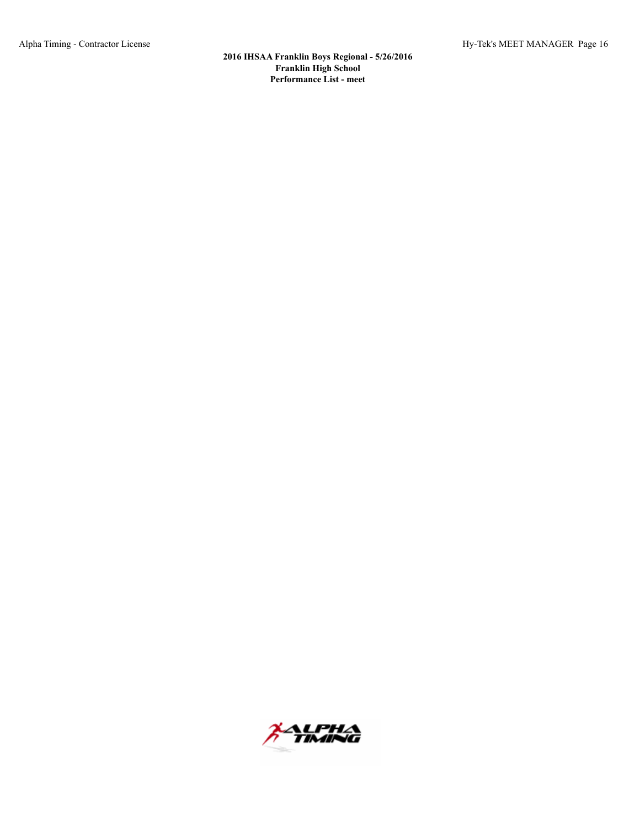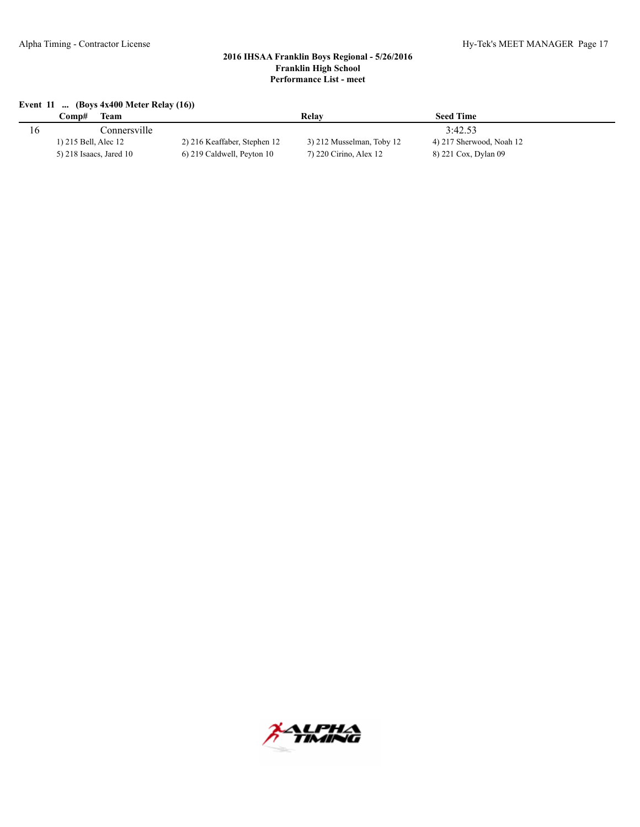#### **Event 11 ... (Boys 4x400 Meter Relay (16))**

| 2omp#<br>Team             |                              | Relay                     | <b>Seed Time</b>         |
|---------------------------|------------------------------|---------------------------|--------------------------|
| Connersville              |                              |                           | 3:42.53                  |
| 1) 215 Bell, Alec 12      | 2) 216 Keaffaber, Stephen 12 | 3) 212 Musselman, Toby 12 | 4) 217 Sherwood, Noah 12 |
| $5)$ 218 Isaacs, Jared 10 | 6) 219 Caldwell, Peyton 10   | 7) 220 Cirino, Alex 12    | 8) 221 Cox, Dylan 09     |

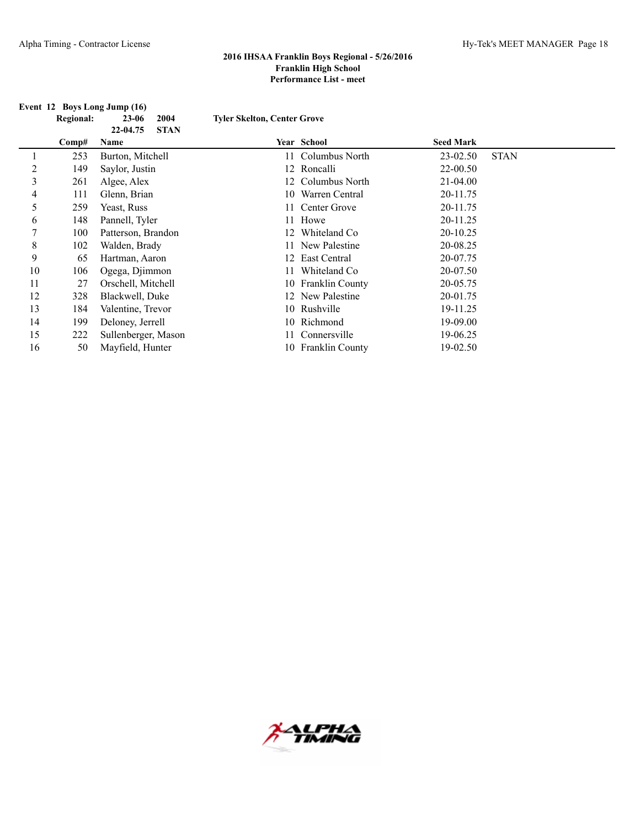|    | Event 12 Boys Long Jump (16) |                                 |                                    |                    |                  |             |  |  |  |
|----|------------------------------|---------------------------------|------------------------------------|--------------------|------------------|-------------|--|--|--|
|    | <b>Regional:</b>             | $23 - 06$<br>2004               | <b>Tyler Skelton, Center Grove</b> |                    |                  |             |  |  |  |
|    | Comp#                        | <b>STAN</b><br>22-04.75<br>Name |                                    | Year School        | <b>Seed Mark</b> |             |  |  |  |
|    | 253                          | Burton, Mitchell                | 11                                 | Columbus North     | 23-02.50         | <b>STAN</b> |  |  |  |
| 2  | 149                          | Saylor, Justin                  |                                    | 12 Roncalli        | 22-00.50         |             |  |  |  |
| 3  | 261                          | Algee, Alex                     | 12                                 | Columbus North     | $21 - 04.00$     |             |  |  |  |
| 4  | 111                          | Glenn, Brian                    | 10.                                | Warren Central     | 20-11.75         |             |  |  |  |
| 5  | 259                          | Yeast, Russ                     |                                    | 11 Center Grove    | 20-11.75         |             |  |  |  |
| 6  | 148                          | Pannell, Tyler                  |                                    | 11 Howe            | 20-11.25         |             |  |  |  |
| 7  | 100                          | Patterson, Brandon              | 12                                 | Whiteland Co       | 20-10.25         |             |  |  |  |
| 8  | 102                          | Walden, Brady                   |                                    | 11 New Palestine   | 20-08.25         |             |  |  |  |
| 9  | 65                           | Hartman, Aaron                  |                                    | 12 East Central    | 20-07.75         |             |  |  |  |
| 10 | 106                          | Ogega, Djimmon                  |                                    | Whiteland Co       | 20-07.50         |             |  |  |  |
| 11 | 27                           | Orschell, Mitchell              |                                    | 10 Franklin County | 20-05.75         |             |  |  |  |
| 12 | 328                          | Blackwell, Duke                 |                                    | 12 New Palestine   | 20-01.75         |             |  |  |  |
| 13 | 184                          | Valentine, Trevor               |                                    | 10 Rushville       | 19-11.25         |             |  |  |  |
| 14 | 199                          | Deloney, Jerrell                |                                    | 10 Richmond        | 19-09.00         |             |  |  |  |
| 15 | 222                          | Sullenberger, Mason             | 11.                                | Connersville       | 19-06.25         |             |  |  |  |
| 16 | 50                           | Mayfield, Hunter                |                                    | 10 Franklin County | 19-02.50         |             |  |  |  |

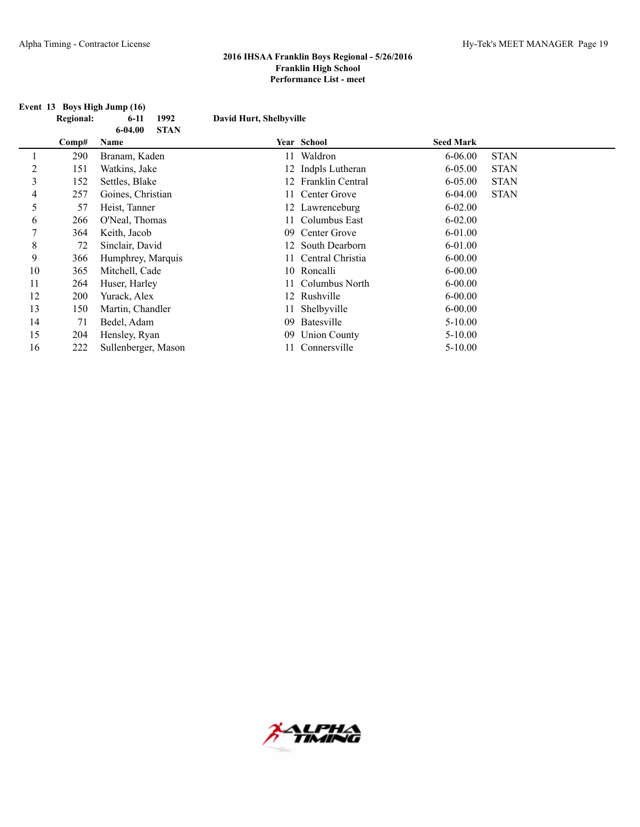|    | <b>Regional:</b> | Event 13 Boys High Jump (16)<br>1992<br>$6 - 11$ | David Hurt, Shelbyville |                     |                  |             |
|----|------------------|--------------------------------------------------|-------------------------|---------------------|------------------|-------------|
|    | Comp#            | $6 - 04.00$<br><b>STAN</b><br>Name               |                         | Year School         | <b>Seed Mark</b> |             |
|    | 290              | Branam, Kaden                                    | 11 -                    | Waldron             | $6 - 06.00$      | <b>STAN</b> |
| 2  | 151              | Watkins, Jake                                    |                         | 12 Indpls Lutheran  | $6 - 05.00$      | <b>STAN</b> |
| 3  | 152              | Settles, Blake                                   |                         | 12 Franklin Central | $6 - 05.00$      | <b>STAN</b> |
| 4  | 257              | Goines, Christian                                |                         | Center Grove        | $6 - 04.00$      | <b>STAN</b> |
| 5  | 57               | Heist, Tanner                                    |                         | 12 Lawrenceburg     | $6 - 02.00$      |             |
| 6  | 266              | O'Neal, Thomas                                   |                         | 11 Columbus East    | $6 - 02.00$      |             |
| 7  | 364              | Keith, Jacob                                     | 09                      | Center Grove        | 6-01.00          |             |
| 8  | 72               | Sinclair, David                                  |                         | 12 South Dearborn   | 6-01.00          |             |
| 9  | 366              | Humphrey, Marquis                                |                         | 11 Central Christia | $6 - 00.00$      |             |
| 10 | 365              | Mitchell, Cade                                   |                         | 10 Roncalli         | $6 - 00.00$      |             |
| 11 | 264              | Huser, Harley                                    |                         | Columbus North      | $6 - 00.00$      |             |
| 12 | 200              | Yurack, Alex                                     |                         | 12 Rushville        | $6 - 00.00$      |             |
| 13 | 150              | Martin, Chandler                                 |                         | Shelbyville         | $6 - 00.00$      |             |
| 14 | 71               | Bedel, Adam                                      | 09                      | Batesville          | $5 - 10.00$      |             |
| 15 | 204              | Hensley, Ryan                                    | 09                      | <b>Union County</b> | $5 - 10.00$      |             |
| 16 | 222              | Sullenberger, Mason                              |                         | 11 Connersville     | $5 - 10.00$      |             |

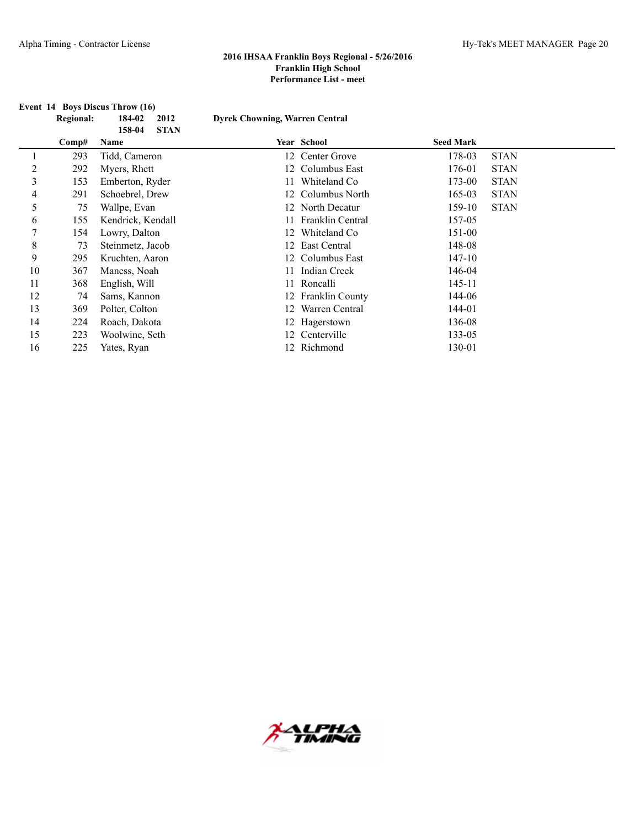|    | <b>Regional:</b> | Event 14 Boys Discus Throw (16)<br>184-02<br>2012<br><b>STAN</b><br>158-04 | <b>Dyrek Chowning, Warren Central</b> |                    |                  |             |
|----|------------------|----------------------------------------------------------------------------|---------------------------------------|--------------------|------------------|-------------|
|    | Comp#            | Name                                                                       |                                       | Year School        | <b>Seed Mark</b> |             |
|    | 293              | Tidd, Cameron                                                              |                                       | 12 Center Grove    | 178-03           | <b>STAN</b> |
| 2  | 292              | Myers, Rhett                                                               | 12                                    | Columbus East      | 176-01           | <b>STAN</b> |
| 3  | 153              | Emberton, Ryder                                                            |                                       | Whiteland Co       | 173-00           | <b>STAN</b> |
| 4  | 291              | Schoebrel, Drew                                                            |                                       | 12 Columbus North  | 165-03           | <b>STAN</b> |
| 5  | 75               | Wallpe, Evan                                                               |                                       | 12 North Decatur   | 159-10           | <b>STAN</b> |
| 6  | 155              | Kendrick, Kendall                                                          |                                       | Franklin Central   | 157-05           |             |
| 7  | 154              | Lowry, Dalton                                                              | 12                                    | Whiteland Co       | 151-00           |             |
| 8  | 73               | Steinmetz, Jacob                                                           |                                       | East Central       | 148-08           |             |
| 9  | 295              | Kruchten, Aaron                                                            | 12                                    | Columbus East      | $147 - 10$       |             |
| 10 | 367              | Maness, Noah                                                               |                                       | Indian Creek       | 146-04           |             |
| 11 | 368              | English, Will                                                              | 11                                    | Roncalli           | 145-11           |             |
| 12 | 74               | Sams, Kannon                                                               |                                       | 12 Franklin County | 144-06           |             |
| 13 | 369              | Polter, Colton                                                             | 12                                    | Warren Central     | 144-01           |             |
| 14 | 224              | Roach, Dakota                                                              |                                       | 12 Hagerstown      | 136-08           |             |
| 15 | 223              | Woolwine, Seth                                                             |                                       | 12 Centerville     | 133-05           |             |
| 16 | 225              | Yates, Ryan                                                                |                                       | 12 Richmond        | 130-01           |             |

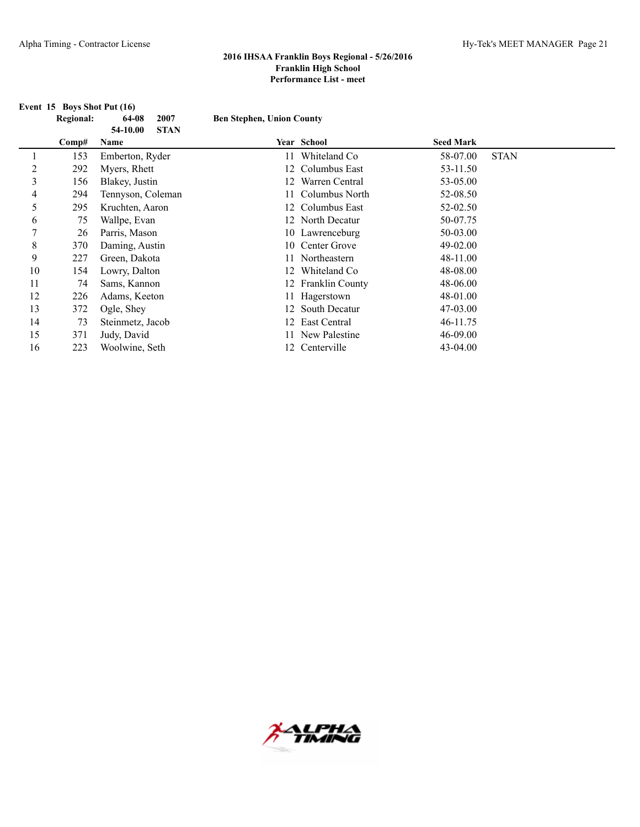|                | $E$ , cht is boys shot i ut (10) |                         |                                  |                    |                  |             |  |  |  |  |
|----------------|----------------------------------|-------------------------|----------------------------------|--------------------|------------------|-------------|--|--|--|--|
|                | <b>Regional:</b>                 | 2007<br>64-08           | <b>Ben Stephen, Union County</b> |                    |                  |             |  |  |  |  |
|                |                                  | 54-10.00<br><b>STAN</b> |                                  |                    |                  |             |  |  |  |  |
|                | Comp#                            | Name                    |                                  | Year School        | <b>Seed Mark</b> |             |  |  |  |  |
|                | 153                              | Emberton, Ryder         | 11                               | Whiteland Co       | 58-07.00         | <b>STAN</b> |  |  |  |  |
| $\overline{c}$ | 292                              | Myers, Rhett            | 12                               | Columbus East      | 53-11.50         |             |  |  |  |  |
| 3              | 156                              | Blakey, Justin          | 12                               | Warren Central     | 53-05.00         |             |  |  |  |  |
| 4              | 294                              | Tennyson, Coleman       | 11                               | Columbus North     | 52-08.50         |             |  |  |  |  |
| 5              | 295                              | Kruchten, Aaron         | 12                               | Columbus East      | 52-02.50         |             |  |  |  |  |
| 6              | 75                               | Wallpe, Evan            |                                  | 12 North Decatur   | 50-07.75         |             |  |  |  |  |
| 7              | 26                               | Parris, Mason           |                                  | 10 Lawrenceburg    | 50-03.00         |             |  |  |  |  |
| 8              | 370                              | Daming, Austin          |                                  | 10 Center Grove    | $49 - 02.00$     |             |  |  |  |  |
| 9              | 227                              | Green, Dakota           |                                  | 11 Northeastern    | 48-11.00         |             |  |  |  |  |
| 10             | 154                              | Lowry, Dalton           |                                  | 12 Whiteland Co    | 48-08.00         |             |  |  |  |  |
| 11             | 74                               | Sams, Kannon            |                                  | 12 Franklin County | 48-06.00         |             |  |  |  |  |
| 12             | 226                              | Adams, Keeton           | 11-                              | Hagerstown         | 48-01.00         |             |  |  |  |  |
| 13             | 372                              | Ogle, Shey              |                                  | 12 South Decatur   | 47-03.00         |             |  |  |  |  |
| 14             | 73                               | Steinmetz, Jacob        |                                  | 12 East Central    | 46-11.75         |             |  |  |  |  |
| 15             | 371                              | Judy, David             |                                  | 11 New Palestine   | 46-09.00         |             |  |  |  |  |
| 16             | 223                              | Woolwine, Seth          |                                  | 12 Centerville     | $43 - 04.00$     |             |  |  |  |  |

## **Event 15 Boys Shot Put (16)**